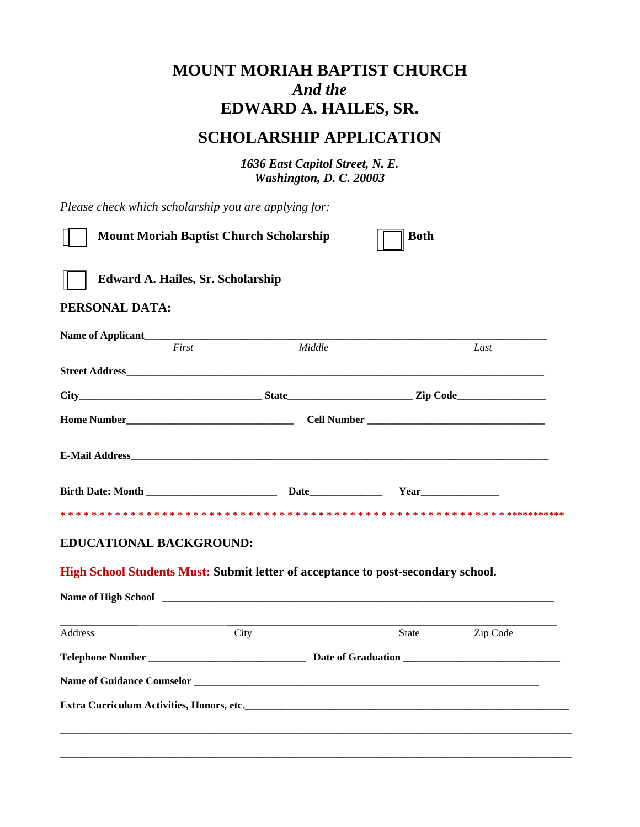## **MOUNT MORIAH BAPTIST CHURCH**  *And the*  **EDWARD A. HAILES, SR.**

## **SCHOLARSHIP APPLICATION**

*1636 East Capitol Street, N. E. Washington, D. C. 20003* 

*Please check which scholarship you are applying for:* 

| <b>Mount Moriah Baptist Church Scholarship</b>                                                                                                                                                                                             |        | <b>Both</b> |          |
|--------------------------------------------------------------------------------------------------------------------------------------------------------------------------------------------------------------------------------------------|--------|-------------|----------|
| <b>Edward A. Hailes, Sr. Scholarship</b>                                                                                                                                                                                                   |        |             |          |
| PERSONAL DATA:                                                                                                                                                                                                                             |        |             |          |
| First                                                                                                                                                                                                                                      | Middle |             | Last     |
|                                                                                                                                                                                                                                            |        |             |          |
|                                                                                                                                                                                                                                            |        |             |          |
|                                                                                                                                                                                                                                            |        |             |          |
|                                                                                                                                                                                                                                            |        |             |          |
| Birth Date: Month <b>Date Date Parameter <b>Date Parameter <i>Parameter Parameter Parameter Parameter Parameter Parameter Parameter Parameter Parameter Parameter Parameter Parameter Parameter Parameter Parameter Parameter </i></b></b> |        |             |          |
|                                                                                                                                                                                                                                            |        |             |          |
| <b>EDUCATIONAL BACKGROUND:</b>                                                                                                                                                                                                             |        |             |          |
| High School Students Must: Submit letter of acceptance to post-secondary school.                                                                                                                                                           |        |             |          |
|                                                                                                                                                                                                                                            |        |             |          |
| Address                                                                                                                                                                                                                                    | City   | State       | Zip Code |
|                                                                                                                                                                                                                                            |        |             |          |
|                                                                                                                                                                                                                                            |        |             |          |
|                                                                                                                                                                                                                                            |        |             |          |
|                                                                                                                                                                                                                                            |        |             |          |
|                                                                                                                                                                                                                                            |        |             |          |